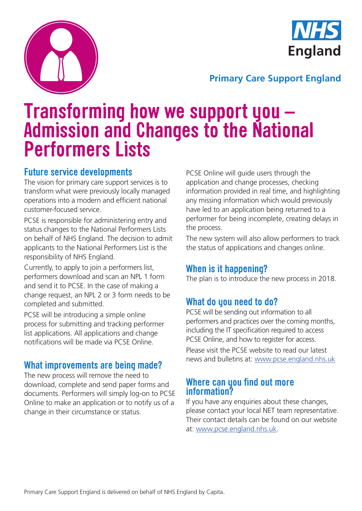



#### **Primary Care Support England**

## **Transforming how we support you – Admission and Changes to the National Performers Lists**

#### **Future service developments**

The vision for primary care support services is to transform what were previously locally managed operations into a modern and efficient national customer-focused service.

PCSE is responsible for administering entry and status changes to the National Performers Lists on behalf of NHS England. The decision to admit applicants to the National Performers List is the responsibility of NHS England.

Currently, to apply to join a performers list, performers download and scan an NPL 1 form and send it to PCSE. In the case of making a change request, an NPL 2 or 3 form needs to be completed and submitted.

PCSE will be introducing a simple online process for submitting and tracking performer list applications. All applications and change notifications will be made via PCSE Online.

#### **What improvements are being made?**

The new process will remove the need to download, complete and send paper forms and documents. Performers will simply log-on to PCSE Online to make an application or to notify us of a change in their circumstance or status.

PCSE Online will guide users through the application and change processes, checking information provided in real time, and highlighting any missing information which would previously have led to an application being returned to a performer for being incomplete, creating delays in the process.

The new system will also allow performers to track the status of applications and changes online.

#### **When is it happening?**

The plan is to introduce the new process in 2018.

### **What do you need to do?**

PCSE will be sending out information to all performers and practices over the coming months, including the IT specification required to access PCSE Online, and how to register for access.

Please visit the PCSE website to read our latest news and bulletins at: www.pcse.england.nhs.uk

#### **Where can you find out more information?**

If you have any enquiries about these changes, please contact your local NET team representative. Their contact details can be found on our website at: www.pcse.england.nhs.uk.